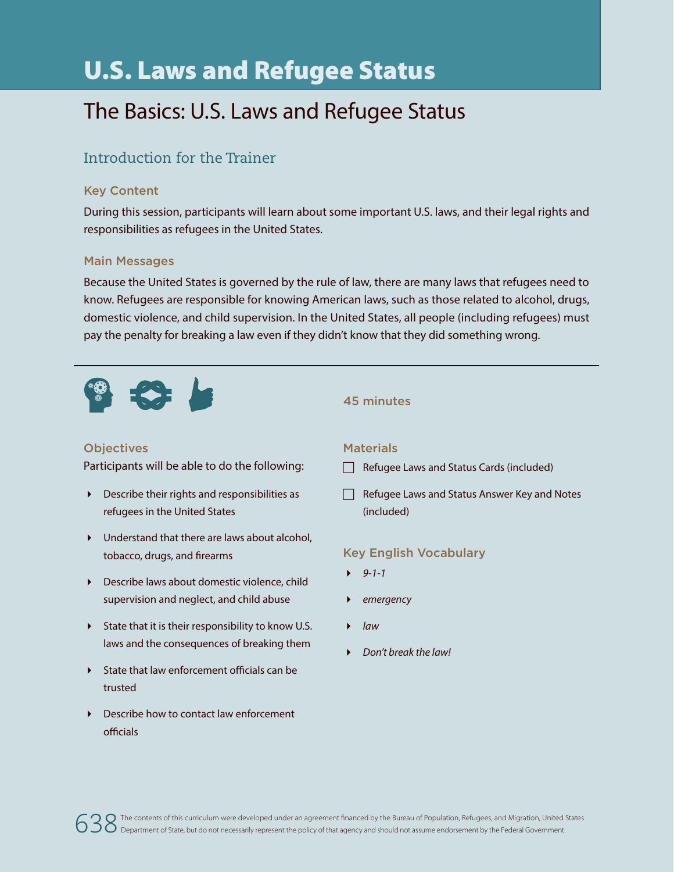# U.S. Laws and Refugee Status

## The Basics: U.S. Laws and Refugee Status

### Introduction for the Trainer

#### Key Content

During this session, participants will learn about some important U.S. laws, and their legal rights and responsibilities as refugees in the United States.

#### Main Messages

Because the United States is governed by the rule of law, there are many laws that refugees need to know. Refugees are responsible for knowing American laws, such as those related to alcohol, drugs, domestic violence, and child supervision. In the United States, all people (including refugees) must pay the penalty for breaking a law even if they didn't know that they did something wrong.



#### **Objectives**

Participants will be able to do the following:

- Describe their rights and responsibilities as refugees in the United States
- Understand that there are laws about alcohol, tobacco, drugs, and firearms
- Describe laws about domestic violence, child supervision and neglect, and child abuse
- State that it is their responsibility to know U.S. laws and the consequences of breaking them
- State that law enforcement officials can be trusted
- ▶ Describe how to contact law enforcement officials

#### 45 minutes

#### **Materials**

- $\Box$  Refugee Laws and Status Cards (included)
- $\Box$  Refugee Laws and Status Answer Key and Notes (included)

#### Key English Vocabulary

- *9-1-1*
- *emergency*
- *law*
- *Don't break the law!*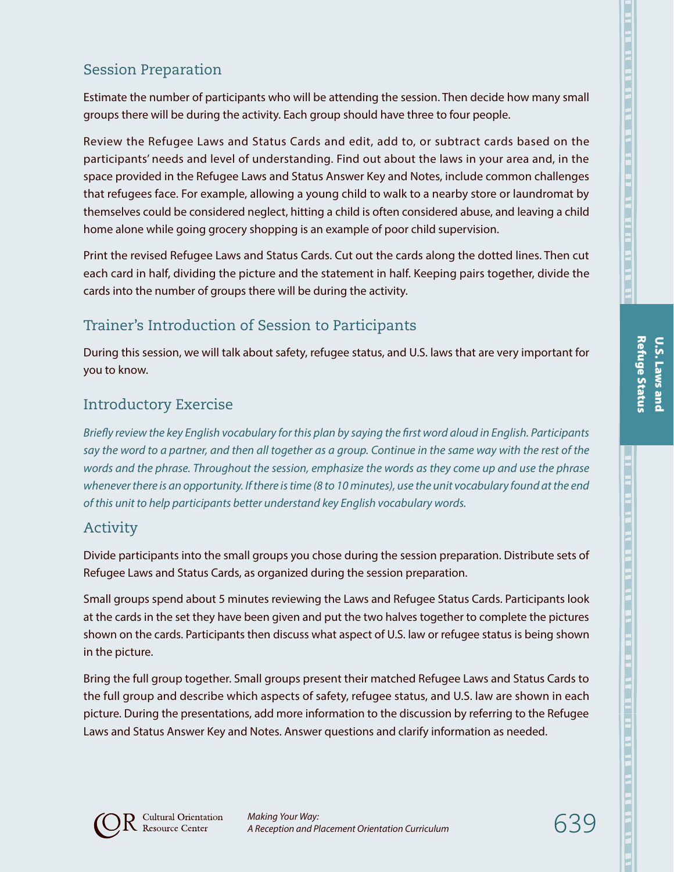## Session Preparation

Estimate the number of participants who will be attending the session. Then decide how many small groups there will be during the activity. Each group should have three to four people.

Review the Refugee Laws and Status Cards and edit, add to, or subtract cards based on the participants' needs and level of understanding. Find out about the laws in your area and, in the space provided in the Refugee Laws and Status Answer Key and Notes, include common challenges that refugees face. For example, allowing a young child to walk to a nearby store or laundromat by themselves could be considered neglect, hitting a child is often considered abuse, and leaving a child home alone while going grocery shopping is an example of poor child supervision.

Print the revised Refugee Laws and Status Cards. Cut out the cards along the dotted lines. Then cut each card in half, dividing the picture and the statement in half. Keeping pairs together, divide the cards into the number of groups there will be during the activity.

## Trainer's Introduction of Session to Participants

During this session, we will talk about safety, refugee status, and U.S. laws that are very important for you to know.

## Introductory Exercise

*Briefly review the key English vocabulary for this plan by saying the first word aloud in English. Participants say the word to a partner, and then all together as a group. Continue in the same way with the rest of the words and the phrase. Throughout the session, emphasize the words as they come up and use the phrase whenever there is an opportunity. If there is time (8 to 10 minutes), use the unit vocabulary found at the end of this unit to help participants better understand key English vocabulary words.*

#### Activity

Divide participants into the small groups you chose during the session preparation. Distribute sets of Refugee Laws and Status Cards, as organized during the session preparation.

Small groups spend about 5 minutes reviewing the Laws and Refugee Status Cards. Participants look at the cards in the set they have been given and put the two halves together to complete the pictures shown on the cards. Participants then discuss what aspect of U.S. law or refugee status is being shown in the picture.

Bring the full group together. Small groups present their matched Refugee Laws and Status Cards to the full group and describe which aspects of safety, refugee status, and U.S. law are shown in each picture. During the presentations, add more information to the discussion by referring to the Refugee Laws and Status Answer Key and Notes. Answer questions and clarify information as needed.



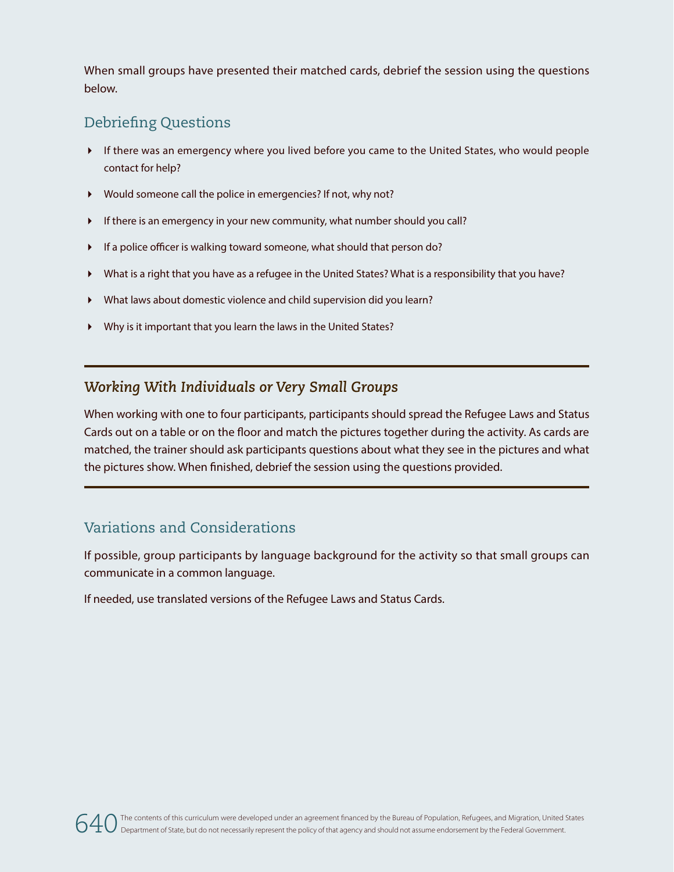When small groups have presented their matched cards, debrief the session using the questions below.

## Debriefing Questions

- If there was an emergency where you lived before you came to the United States, who would people contact for help?
- Would someone call the police in emergencies? If not, why not?
- If there is an emergency in your new community, what number should you call?
- If a police officer is walking toward someone, what should that person do?
- What is a right that you have as a refugee in the United States? What is a responsibility that you have?
- What laws about domestic violence and child supervision did you learn?
- Why is it important that you learn the laws in the United States?

#### *Working With Individuals or Very Small Groups*

When working with one to four participants, participants should spread the Refugee Laws and Status Cards out on a table or on the floor and match the pictures together during the activity. As cards are matched, the trainer should ask participants questions about what they see in the pictures and what the pictures show. When finished, debrief the session using the questions provided.

#### Variations and Considerations

If possible, group participants by language background for the activity so that small groups can communicate in a common language.

If needed, use translated versions of the Refugee Laws and Status Cards.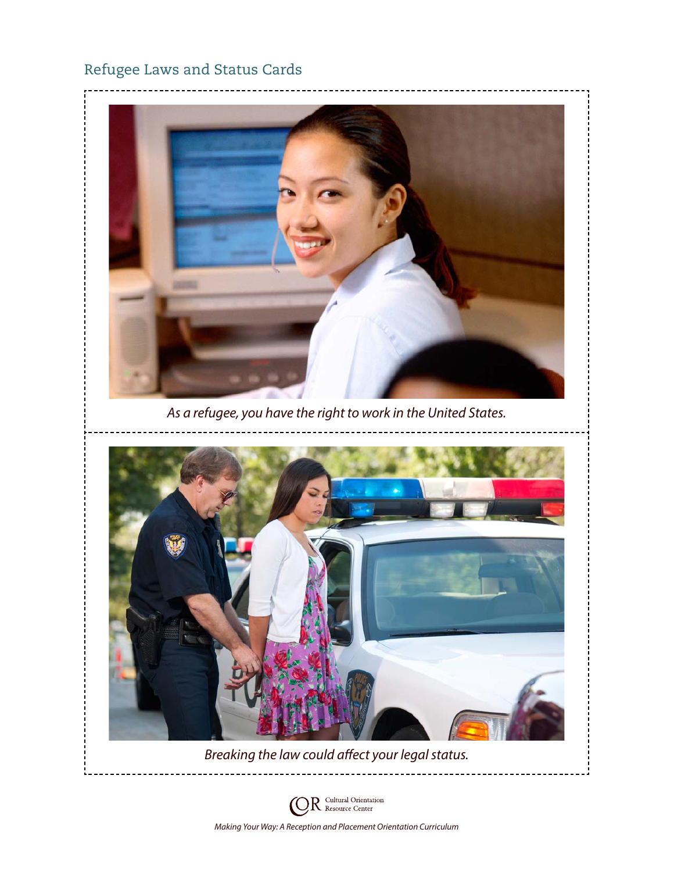## Refugee Laws and Status Cards



*As a refugee, you have the right to work in the United States.*





*Breaking the law could affect your legal status.*

 $R$  Cultural Orientation O) *Making Your Way: A Reception and Placement Orientation Curriculum*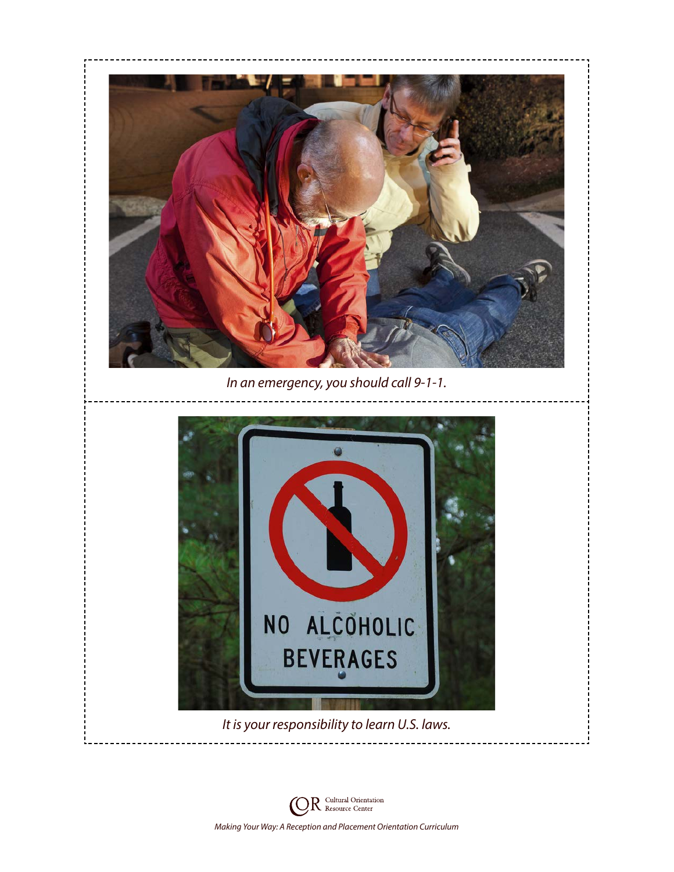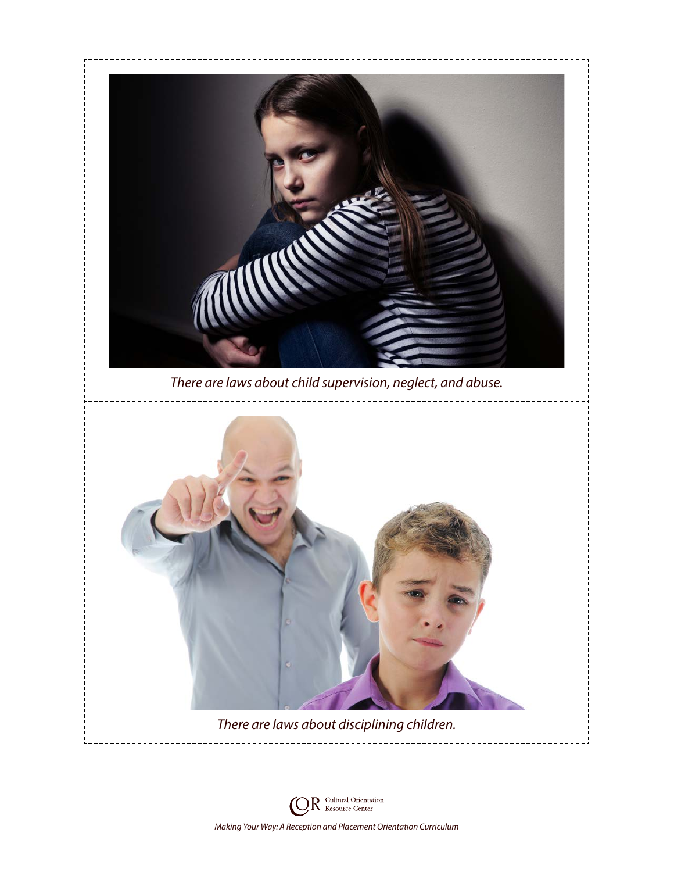

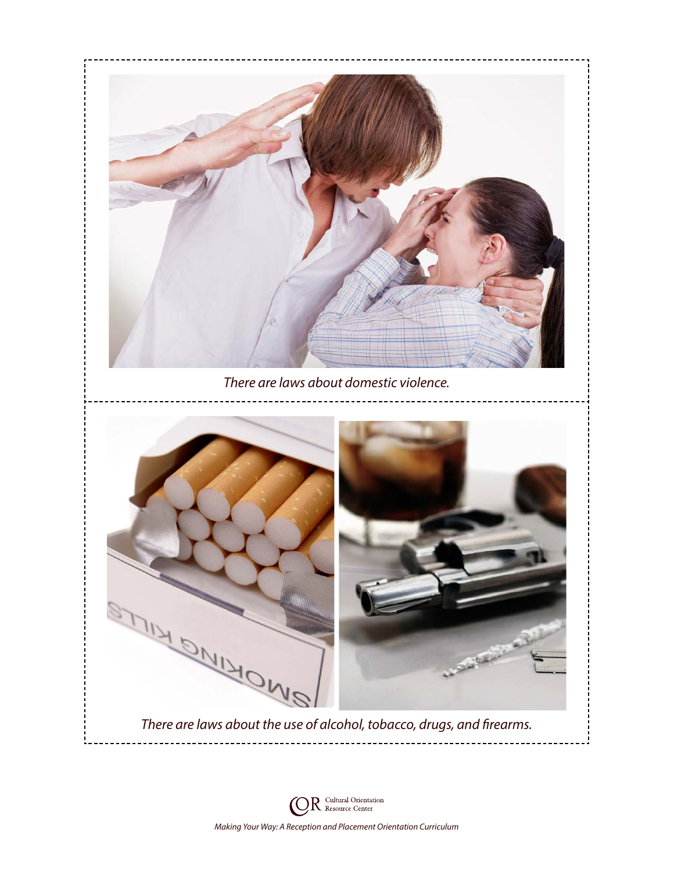

 $R$  Cultural Orientation O) *Making Your Way: A Reception and Placement Orientation Curriculum*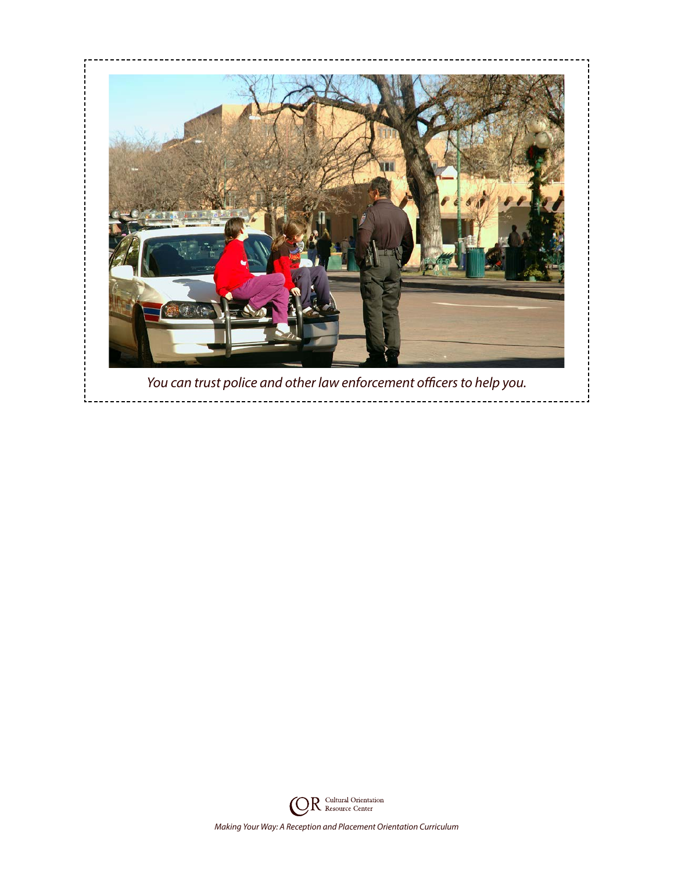

*You can trust police and other law enforcement officers to help you.*

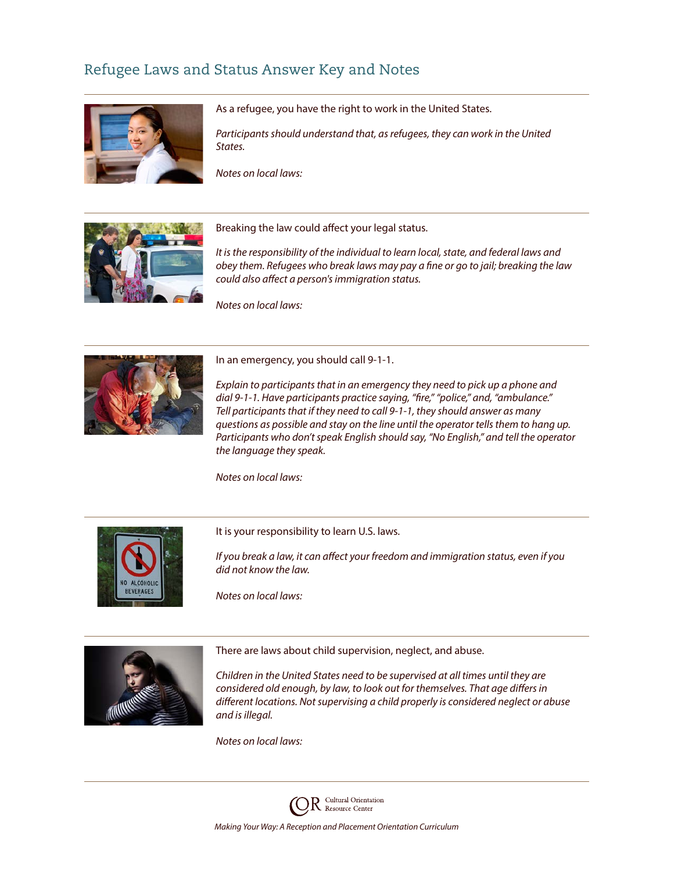#### Refugee Laws and Status Answer Key and Notes



As a refugee, you have the right to work in the United States.

*Participants should understand that, as refugees, they can work in the United States.*

*Notes on local laws:*



Breaking the law could affect your legal status.

*It is the responsibility of the individual to learn local, state, and federal laws and obey them. Refugees who break laws may pay a fine or go to jail; breaking the law could also affect a person's immigration status.*

*Notes on local laws:*



In an emergency, you should call 9-1-1.

*Explain to participants that in an emergency they need to pick up a phone and dial 9-1-1. Have participants practice saying, "fire," "police," and, "ambulance." Tell participants that if they need to call 9-1-1, they should answer as many questions as possible and stay on the line until the operator tells them to hang up. Participants who don't speak English should say, "No English," and tell the operator the language they speak.*

*Notes on local laws:*



It is your responsibility to learn U.S. laws.

*If you break a law, it can affect your freedom and immigration status, even if you did not know the law.*

*Notes on local laws:*



There are laws about child supervision, neglect, and abuse.

*Children in the United States need to be supervised at all times until they are considered old enough, by law, to look out for themselves. That age differs in different locations. Not supervising a child properly is considered neglect or abuse and is illegal.*

*Notes on local laws:*